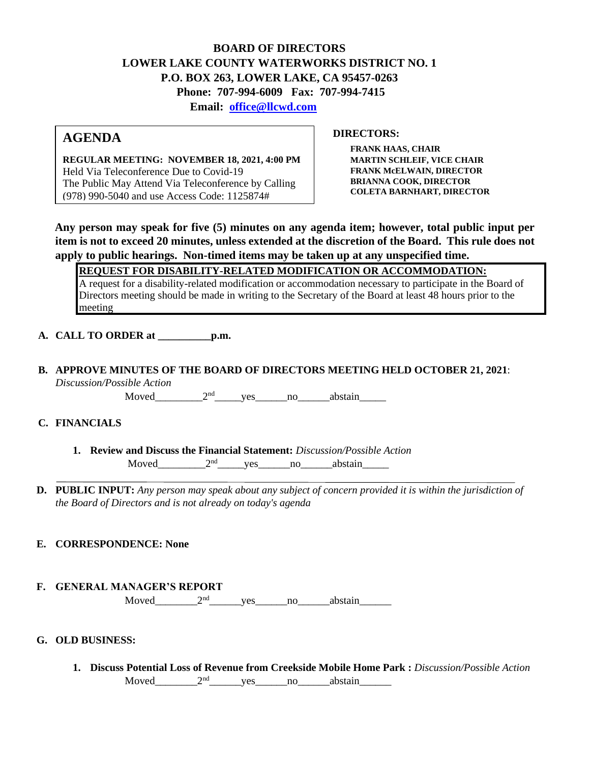## **BOARD OF DIRECTORS LOWER LAKE COUNTY WATERWORKS DISTRICT NO. 1 P.O. BOX 263, LOWER LAKE, CA 95457-0263 Phone: 707-994-6009 Fax: 707-994-7415 Email: office@llcwd.com**

# **AGENDA**

**REGULAR MEETING: NOVEMBER 18, 2021, 4:00 PM**  Held Via Teleconference Due to Covid-19 The Public May Attend Via Teleconference by Calling (978) 990-5040 and use Access Code: 1125874#

**DIRECTORS:** 

**FRANK HAAS, CHAIR MARTIN SCHLEIF, VICE CHAIR FRANK McELWAIN, DIRECTOR BRIANNA COOK, DIRECTOR COLETA BARNHART, DIRECTOR**

**Any person may speak for five (5) minutes on any agenda item; however, total public input per item is not to exceed 20 minutes, unless extended at the discretion of the Board. This rule does not apply to public hearings. Non-timed items may be taken up at any unspecified time.** 

**REQUEST FOR DISABILITY-RELATED MODIFICATION OR ACCOMMODATION:**

A request for a disability-related modification or accommodation necessary to participate in the Board of Directors meeting should be made in writing to the Secretary of the Board at least 48 hours prior to the meeting

**A. CALL TO ORDER at \_\_\_\_\_\_\_\_\_\_p.m.** 

**B. APPROVE MINUTES OF THE BOARD OF DIRECTORS MEETING HELD OCTOBER 21, 2021**: *Discussion/Possible Action*

Moved\_\_\_\_\_\_\_\_\_\_\_2<sup>nd</sup>\_\_\_\_\_\_yes\_\_\_\_\_\_\_no\_\_\_\_\_\_\_abstain\_\_\_\_\_\_

#### **C. FINANCIALS**

- **1. Review and Discuss the Financial Statement:** *Discussion/Possible Action* Moved  $2<sup>nd</sup>$  yes no abstain
- **D. PUBLIC INPUT:** *Any person may speak about any subject of concern provided it is within the jurisdiction of the Board of Directors and is not already on today's agenda*

### **E. CORRESPONDENCE: None**

#### **F. GENERAL MANAGER'S REPORT**

Moved\_\_\_\_\_\_\_\_2nd\_\_\_\_\_\_yes\_\_\_\_\_\_no\_\_\_\_\_\_abstain\_\_\_\_\_\_

#### **G. OLD BUSINESS:**

**1. Discuss Potential Loss of Revenue from Creekside Mobile Home Park :** *Discussion/Possible Action* Moved  $2<sup>nd</sup>$  ves no abstain